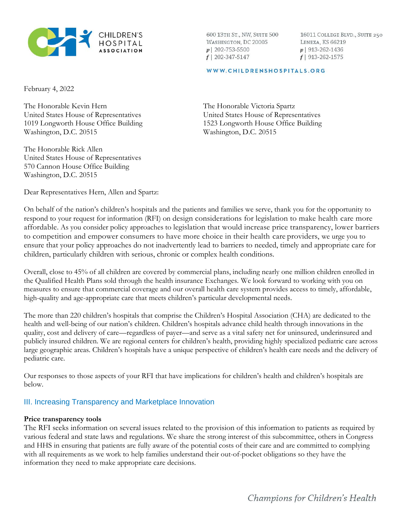

600 13TH ST., NW, SUITE 500 WASHINGTON, DC 20005  $p$ | 202-753-5500  $f$  | 202-347-5147

16011 COLLEGE BLVD., SUITE 250 LENEXA, KS 66219  $p$ | 913-262-1436  $f$ | 913-262-1575

#### WWW.CHILDRENSHOSPITALS.ORG

February 4, 2022

The Honorable Kevin Hern United States House of Representatives 1019 Longworth House Office Building Washington, D.C. 20515

The Honorable Rick Allen United States House of Representatives 570 Cannon House Office Building Washington, D.C. 20515

The Honorable Victoria Spartz United States House of Representatives 1523 Longworth House Office Building Washington, D.C. 20515

Dear Representatives Hern, Allen and Spartz:

On behalf of the nation's children's hospitals and the patients and families we serve, thank you for the opportunity to respond to your request for information (RFI) on design considerations for legislation to make health care more affordable. As you consider policy approaches to legislation that would increase price transparency, lower barriers to competition and empower consumers to have more choice in their health care providers, we urge you to ensure that your policy approaches do not inadvertently lead to barriers to needed, timely and appropriate care for children, particularly children with serious, chronic or complex health conditions.

Overall, close to 45% of all children are covered by commercial plans, including nearly one million children enrolled in the Qualified Health Plans sold through the health insurance Exchanges. We look forward to working with you on measures to ensure that commercial coverage and our overall health care system provides access to timely, affordable, high-quality and age-appropriate care that meets children's particular developmental needs.

The more than 220 children's hospitals that comprise the Children's Hospital Association (CHA) are dedicated to the health and well-being of our nation's children. Children's hospitals advance child health through innovations in the quality, cost and delivery of care—regardless of payer—and serve as a vital safety net for uninsured, underinsured and publicly insured children. We are regional centers for children's health, providing highly specialized pediatric care across large geographic areas. Children's hospitals have a unique perspective of children's health care needs and the delivery of pediatric care.

Our responses to those aspects of your RFI that have implications for children's health and children's hospitals are below.

## III. Increasing Transparency and Marketplace Innovation

#### **Price transparency tools**

The RFI seeks information on several issues related to the provision of this information to patients as required by various federal and state laws and regulations. We share the strong interest of this subcommittee, others in Congress and HHS in ensuring that patients are fully aware of the potential costs of their care and are committed to complying with all requirements as we work to help families understand their out-of-pocket obligations so they have the information they need to make appropriate care decisions.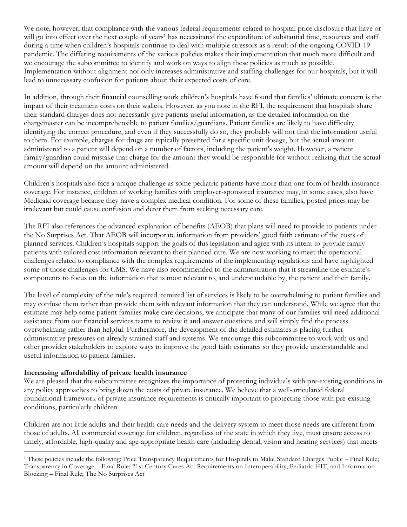We note, however, that compliance with the various federal requirements related to hospital price disclosure that have or will go into effect over the next couple of years<sup>1</sup> has necessitated the expenditure of substantial time, resources and staff during a time when children's hospitals continue to deal with multiple stressors as a result of the ongoing COVID-19 pandemic. The differing requirements of the various policies makes their implementation that much more difficult and we encourage the subcommittee to identify and work on ways to align these policies as much as possible. Implementation without alignment not only increases administrative and staffing challenges for our hospitals, but it will lead to unnecessary confusion for patients about their expected costs of care.

In addition, through their financial counselling work children's hospitals have found that families' ultimate concern is the impact of their treatment costs on their wallets. However, as you note in the RFI, the requirement that hospitals share their standard charges does not necessarily give patients useful information, as the detailed information on the chargemaster can be incomprehensible to patient families/guardians. Patient families are likely to have difficulty identifying the correct procedure, and even if they successfully do so, they probably will not find the information useful to them. For example, charges for drugs are typically presented for a specific unit dosage, but the actual amount administered to a patient will depend on a number of factors, including the patient's weight. However, a patient family/guardian could mistake that charge for the amount they would be responsible for without realizing that the actual amount will depend on the amount administered.

Children's hospitals also face a unique challenge as some pediatric patients have more than one form of health insurance coverage. For instance, children of working families with employer-sponsored insurance may, in some cases, also have Medicaid coverage because they have a complex medical condition. For some of these families, posted prices may be irrelevant but could cause confusion and deter them from seeking necessary care.

The RFI also references the advanced explanation of benefits (AEOB) that plans will need to provide to patients under the No Surprises Act. That AEOB will incorporate information from providers' good faith estimate of the costs of planned services. Children's hospitals support the goals of this legislation and agree with its intent to provide family patients with tailored cost information relevant to their planned care. We are now working to meet the operational challenges related to compliance with the complex requirements of the implementing regulations and have highlighted some of those challenges for CMS. We have also recommended to the administration that it streamline the estimate's components to focus on the information that is most relevant to, and understandable by, the patient and their family.

The level of complexity of the rule's required itemized list of services is likely to be overwhelming to patient families and may confuse them rather than provide them with relevant information that they can understand. While we agree that the estimate may help some patient families make care decisions, we anticipate that many of our families will need additional assistance from our financial services teams to review it and answer questions and will simply find the process overwhelming rather than helpful. Furthermore, the development of the detailed estimates is placing further administrative pressures on already strained staff and systems. We encourage this subcommittee to work with us and other provider stakeholders to explore ways to improve the good faith estimates so they provide understandable and useful information to patient families.

## **Increasing affordability of private health insurance**

We are pleased that the subcommittee recognizes the importance of protecting individuals with pre-existing conditions in any policy approaches to bring down the costs of private insurance. We believe that a well-articulated federal foundational framework of private insurance requirements is critically important to protecting those with pre-existing conditions, particularly children.

Children are not little adults and their health care needs and the delivery system to meet those needs are different from those of adults. All commercial coverage for children, regardless of the state in which they live, must ensure access to timely, affordable, high-quality and age-appropriate health care (including dental, vision and hearing services) that meets

<sup>1</sup> These policies include the following: Price Transparency Requirements for Hospitals to Make Standard Charges Public – Final Rule; Transparency in Coverage – Final Rule; 21st Century Cures Act Requirements on Interoperability, Pediatric HIT, and Information Blocking – Final Rule; The No Surprises Act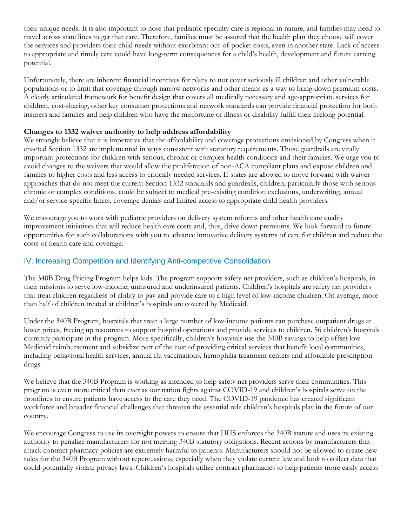their unique needs. It is also important to note that pediatric specialty care is regional in nature, and families may need to travel across state lines to get that care. Therefore, families must be assured that the health plan they choose will cover the services and providers their child needs without exorbitant out-of-pocket costs, even in another state. Lack of access to appropriate and timely care could have long-term consequences for a child's health, development and future earning potential.

Unfortunately, there are inherent financial incentives for plans to not cover seriously ill children and other vulnerable populations or to limit that coverage through narrow networks and other means as a way to bring down premium costs. A clearly articulated framework for benefit design that covers all medically necessary and age-appropriate services for children, cost-sharing, other key consumer protections and network standards can provide financial protection for both insurers and families and help children who have the misfortune of illness or disability fulfill their lifelong potential.

## **Changes to 1332 waiver authority to help address affordability**

We strongly believe that it is imperative that the affordability and coverage protections envisioned by Congress when it enacted Section 1332 are implemented in ways consistent with statutory requirements. Those guardrails are vitally important protections for children with serious, chronic or complex health conditions and their families. We urge you to avoid changes to the waivers that would allow the proliferation of non-ACA compliant plans and expose children and families to higher costs and less access to critically needed services. If states are allowed to move forward with waiver approaches that do not meet the current Section 1332 standards and guardrails, children, particularly those with serious chronic or complex conditions, could be subject to medical pre-existing condition exclusions, underwriting, annual and/or service-specific limits, coverage denials and limited access to appropriate child health providers.

We encourage you to work with pediatric providers on delivery system reforms and other health care quality improvement initiatives that will reduce health care costs and, thus, drive down premiums. We look forward to future opportunities for such collaborations with you to advance innovative delivery systems of care for children and reduce the costs of health care and coverage.

# IV. Increasing Competition and Identifying Anti-competitive Consolidation

The 340B Drug Pricing Program helps kids. The program supports safety net providers, such as children's hospitals, in their missions to serve low-income, uninsured and underinsured patients. Children's hospitals are safety net providers that treat children regardless of ability to pay and provide care to a high level of low-income children. On average, more than half of children treated at children's hospitals are covered by Medicaid.

Under the 340B Program, hospitals that treat a large number of low-income patients can purchase outpatient drugs at lower prices, freeing up resources to support hospital operations and provide services to children. 56 children's hospitals currently participate in the program. More specifically, children's hospitals use the 340B savings to help offset low Medicaid reimbursement and subsidize part of the cost of providing critical services that benefit local communities, including behavioral health services, annual flu vaccinations, hemophilia treatment centers and affordable prescription drugs.

We believe that the 340B Program is working as intended to help safety net providers serve their communities. This program is even more critical than ever as our nation fights against COVID-19 and children's hospitals serve on the frontlines to ensure patients have access to the care they need. The COVID-19 pandemic has created significant workforce and broader financial challenges that threaten the essential role children's hospitals play in the future of our country.

We encourage Congress to use its oversight powers to ensure that HHS enforces the 340B statute and uses its existing authority to penalize manufacturers for not meeting 340B statutory obligations. Recent actions by manufacturers that attack contract pharmacy policies are extremely harmful to patients. Manufacturers should not be allowed to create new rules for the 340B Program without repercussions, especially when they violate current law and look to collect data that could potentially violate privacy laws. Children's hospitals utilize contract pharmacies to help patients more easily access